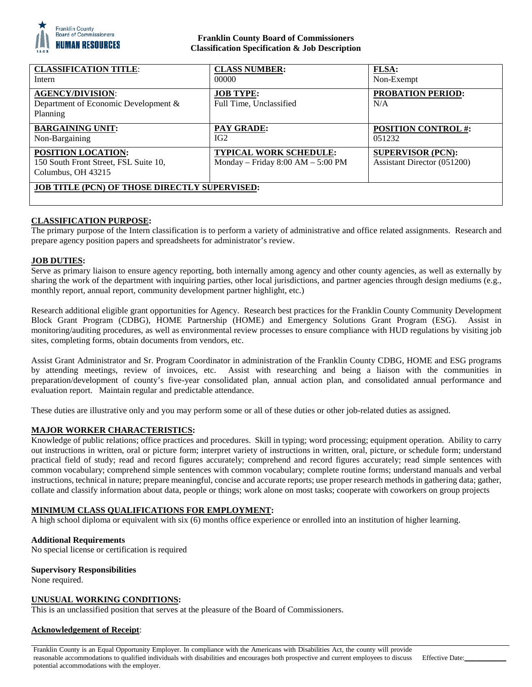

## **Franklin County Board of Commissioners Classification Specification & Job Description**

| <b>CLASSIFICATION TITLE:</b><br>Intern                                            | <b>CLASS NUMBER:</b><br>00000                                        | <b>FLSA:</b><br>Non-Exempt                              |
|-----------------------------------------------------------------------------------|----------------------------------------------------------------------|---------------------------------------------------------|
| <b>AGENCY/DIVISION:</b><br>Department of Economic Development &<br>Planning       | <b>JOB TYPE:</b><br>Full Time, Unclassified                          | <b>PROBATION PERIOD:</b><br>N/A                         |
| <b>BARGAINING UNIT:</b><br>Non-Bargaining                                         | <b>PAY GRADE:</b><br>IG2                                             | <b>POSITION CONTROL #:</b><br>051232                    |
| POSITION LOCATION:<br>150 South Front Street, FSL Suite 10,<br>Columbus, OH 43215 | <b>TYPICAL WORK SCHEDULE:</b><br>Monday – Friday $8:00 AM - 5:00 PM$ | <b>SUPERVISOR (PCN):</b><br>Assistant Director (051200) |
| <b>JOB TITLE (PCN) OF THOSE DIRECTLY SUPERVISED:</b>                              |                                                                      |                                                         |

# **CLASSIFICATION PURPOSE:**

The primary purpose of the Intern classification is to perform a variety of administrative and office related assignments. Research and prepare agency position papers and spreadsheets for administrator's review.

### **JOB DUTIES:**

Serve as primary liaison to ensure agency reporting, both internally among agency and other county agencies, as well as externally by sharing the work of the department with inquiring parties, other local jurisdictions, and partner agencies through design mediums (e.g., monthly report, annual report, community development partner highlight, etc.)

Research additional eligible grant opportunities for Agency. Research best practices for the Franklin County Community Development Block Grant Program (CDBG), HOME Partnership (HOME) and Emergency Solutions Grant Program (ESG). Assist in monitoring/auditing procedures, as well as environmental review processes to ensure compliance with HUD regulations by visiting job sites, completing forms, obtain documents from vendors, etc.

Assist Grant Administrator and Sr. Program Coordinator in administration of the Franklin County CDBG, HOME and ESG programs by attending meetings, review of invoices, etc. Assist with researching and being a liaison with the communities in preparation/development of county's five-year consolidated plan, annual action plan, and consolidated annual performance and evaluation report. Maintain regular and predictable attendance.

These duties are illustrative only and you may perform some or all of these duties or other job-related duties as assigned.

### **MAJOR WORKER CHARACTERISTICS:**

Knowledge of public relations; office practices and procedures. Skill in typing; word processing; equipment operation. Ability to carry out instructions in written, oral or picture form; interpret variety of instructions in written, oral, picture, or schedule form; understand practical field of study; read and record figures accurately; comprehend and record figures accurately; read simple sentences with common vocabulary; comprehend simple sentences with common vocabulary; complete routine forms; understand manuals and verbal instructions, technical in nature; prepare meaningful, concise and accurate reports; use proper research methods in gathering data; gather, collate and classify information about data, people or things; work alone on most tasks; cooperate with coworkers on group projects

### **MINIMUM CLASS QUALIFICATIONS FOR EMPLOYMENT:**

A high school diploma or equivalent with six (6) months office experience or enrolled into an institution of higher learning.

### **Additional Requirements**

No special license or certification is required

#### **Supervisory Responsibilities**

None required.

#### **UNUSUAL WORKING CONDITIONS:**

This is an unclassified position that serves at the pleasure of the Board of Commissioners.

### **Acknowledgement of Receipt**:

Franklin County is an Equal Opportunity Employer. In compliance with the Americans with Disabilities Act, the county will provide reasonable accommodations to qualified individuals with disabilities and encourages both prospective and current employees to discuss potential accommodations with the employer.